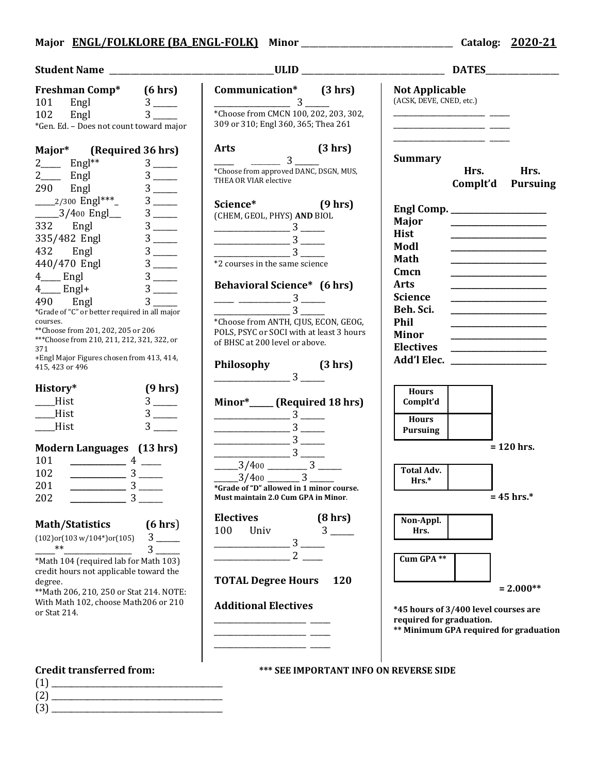## **Major ENGL/FOLKLORE (BA\_ENGL-FOLK) Minor** \_\_\_\_\_\_\_\_\_\_\_\_\_\_\_\_\_\_\_\_\_\_\_\_\_\_\_\_\_\_\_\_\_\_\_ **Catalog: 2020-21**

(2) \_\_\_\_\_\_\_\_\_\_\_\_\_\_\_\_\_\_\_\_\_\_\_\_\_\_\_\_\_\_\_\_\_\_\_\_\_\_\_\_\_\_\_  $(3)$ 

## **Student Name** \_\_\_\_\_\_\_\_\_\_\_\_\_\_\_\_\_\_\_\_\_\_\_\_\_\_\_\_\_\_\_\_\_\_\_\_\_\_**ULID** \_\_\_\_\_\_\_\_\_\_\_\_\_\_\_\_\_\_\_\_\_\_\_\_\_\_\_\_\_\_\_\_\_ **DATES**\_\_\_\_\_\_\_\_\_\_\_\_\_\_\_\_\_ **Credit transferred from: \*\*\* SEE IMPORTANT INFO ON REVERSE SIDE**  $(1)$ **Freshman Comp\* (6 hrs)** 101 Engl 3 \_\_\_\_\_\_<br>102 Engl 3 102 Engl 3 \*Gen. Ed. – Does not count toward major **Major\* (Required 36 hrs)**  $2 \_\_$  Engl<sup>\*\*</sup>  $3 \_\_$ <br>2 Engl  $3 \_\_$  $\frac{2}{290}$  Engl  $\frac{3}{3}$   $\frac{3}{3}$   $\frac{1}{3}$ 290 Engl 3 \_\_\_\_\_\_ \_\_\_\_\_2/300 Engl\*\*\*\_ 3 \_\_\_\_\_\_ \_\_\_\_\_3/400 Engl\_\_\_ 3 \_\_\_\_\_<br>332 Engl 3 \_\_\_\_\_ 332 Engl 3\_\_\_\_\_\_<br>335/482 Engl 3 \_\_\_\_\_\_ 335/482 Engl 3 \_\_\_\_\_\_ 432 Engl 3 \_\_\_\_\_\_ 440/470 Engl 3 \_\_\_\_\_\_  $4 \_$  Engl  $3 \_$ <br> $4 \_$  Engl+  $3 \_$  $4\_\_$  Engl+  $3\_\_$ <br>490 Engl  $3\_\_$ 490 Engl 3 \*Grade of "C" or better required in all major courses. \*\*Choose from 201, 202, 205 or 206 \*\*\*Choose from 210, 211, 212, 321, 322, or 371 +Engl Major Figures chosen from 413, 414, 415, 423 or 496 **History\* (9 hrs)**  $\frac{\text{Hist}}{\text{Hist}}$  3  $\frac{3}{3}$  ——  $Hist$ **Modern Languages (13 hrs)**  $\frac{101}{102}$   $\frac{\ }{3}$  — 102 **\_\_\_\_\_\_\_\_\_\_\_\_\_\_** 3 \_\_\_\_\_\_ 201 **\_\_\_\_\_\_\_\_\_\_\_\_\_\_** 3 \_\_\_\_\_\_ 202 **\_\_\_\_\_\_\_\_\_\_\_\_\_\_** 3 \_\_\_\_\_\_ **Math/Statistics (6 hrs**) (102)or(103 w/104\*)or(105) 3 \_\_\_\_\_\_ \_\_\_\_\_\*\*\_\_\_\_\_\_\_\_\_\_\_\_\_\_\_\_\_ 3 \_\_\_\_\_\_ \*Math 104 (required lab for Math 103) credit hours not applicable toward the degree. \*\*Math 206, 210, 250 or Stat 214. NOTE: With Math 102, choose Math206 or 210 or Stat 214. **Communication\* (3 hrs)**  $\sim$  3 \*Choose from CMCN 100, 202, 203, 302, 309 or 310; Engl 360, 365; Thea 261 **Arts (3 hrs)**  $\frac{3}{2}$ \*Choose from approved DANC, DSGN, MUS, THEA OR VIAR elective **Science\* (9 hrs)** (CHEM, GEOL, PHYS) **AND** BIOL \_\_\_\_\_\_\_\_\_\_\_\_\_\_\_\_\_\_\_ 3 \_\_\_\_\_\_ \_\_\_\_\_\_\_\_\_\_\_\_\_\_\_\_\_\_\_ 3 \_\_\_\_\_\_  $\frac{3}{\sqrt{3}}$ \*2 courses in the same science **Behavioral Science\* (6 hrs)**  $\frac{3}{3}$  — \_\_\_\_\_\_\_\_\_\_\_\_\_\_\_\_\_\_\_ 3 \_\_\_\_\_\_ \*Choose from ANTH, CJUS, ECON, GEOG, POLS, PSYC or SOCI with at least 3 hours of BHSC at 200 level or above. **Philosophy (3 hrs)**  $\frac{1}{3}$ **Minor\*\_\_\_\_\_\_ (Required 18 hrs)** \_\_\_\_\_\_\_\_\_\_\_\_\_\_\_\_\_\_\_ 3 \_\_\_\_\_\_ \_\_\_\_\_\_\_\_\_\_\_\_\_\_\_\_\_\_\_ 3 \_\_\_\_\_\_  $\frac{3}{\sqrt{2}}$  3  $\frac{1}{\sqrt{2}}$  $\frac{3}{2}$  $\frac{3}{400}$   $\frac{3}{3}$  $\frac{3}{400}$  3 **\*Grade of "D" allowed in 1 minor course. Must maintain 2.0 Cum GPA in Minor**. **Electives (8 hrs)** 100 Univ 3 \_\_\_\_\_\_\_\_\_\_\_\_\_\_\_\_\_\_\_ 3 \_\_\_\_\_\_ \_\_\_\_\_\_\_\_\_\_\_\_\_\_\_\_\_\_\_ 2 \_\_\_\_\_ **TOTAL Degree Hours 120 Additional Electives** \_\_\_\_\_\_\_\_\_\_\_\_\_\_\_\_\_\_\_\_\_\_\_ \_\_\_\_\_ \_\_\_\_\_\_\_\_\_\_\_\_\_\_\_\_\_\_\_\_\_\_\_ \_\_\_\_\_ \_\_\_\_\_\_\_\_\_\_\_\_\_\_\_\_\_\_\_\_\_\_\_ \_\_\_\_\_ **Not Applicable** (ACSK, DEVE, CNED, etc.)  $\overline{\phantom{a}}$ \_\_\_\_\_\_\_\_\_\_\_\_\_\_\_\_\_\_\_\_\_\_\_ \_\_\_\_\_ \_\_\_\_\_\_\_\_\_\_\_\_\_\_\_\_\_\_\_\_\_\_\_ \_\_\_\_\_ **Summary Hrs. Hrs. Complt'd Pursuing Engl Comp. \_\_\_\_\_\_\_\_\_\_\_\_\_\_\_\_\_\_\_\_\_\_\_\_ Major \_\_\_\_\_\_\_\_\_\_\_\_\_\_\_\_\_\_\_\_\_\_\_\_ Hist \_\_\_\_\_\_\_\_\_\_\_\_\_\_\_\_\_\_\_\_\_\_\_\_ Modl \_\_\_\_\_\_\_\_\_\_\_\_\_\_\_\_\_\_\_\_\_\_\_\_ Math \_\_\_\_\_\_\_\_\_\_\_\_\_\_\_\_\_\_\_\_\_\_\_\_ Cmcn \_\_\_\_\_\_\_\_\_\_\_\_\_\_\_\_\_\_\_\_\_\_\_\_ Arts \_\_\_\_\_\_\_\_\_\_\_\_\_\_\_\_\_\_\_\_\_\_\_\_ Science \_\_\_\_\_\_\_\_\_\_\_\_\_\_\_\_\_\_\_\_\_\_\_\_ Beh. Sci. \_\_\_\_\_\_\_\_\_\_\_\_\_\_\_\_\_\_\_\_\_\_\_\_ Phil \_\_\_\_\_\_\_\_\_\_\_\_\_\_\_\_\_\_\_\_\_\_\_\_ Minor \_\_\_\_\_\_\_\_\_\_\_\_\_\_\_\_\_\_\_\_\_\_\_\_ Electives \_\_\_\_\_\_\_\_\_\_\_\_\_\_\_\_\_\_\_\_\_\_\_\_ Add'l Elec. \_\_\_\_\_\_\_\_\_\_\_\_\_\_\_\_\_\_\_\_\_\_\_\_ Hours Complt'd Hours Pursuing = 120 hrs. Total Adv. Hrs.\* = 45 hrs.\* Non-Appl. Hrs. Cum GPA \*\* = 2.000\*\* \*45 hours of 3/400 level courses are required for graduation. \*\* Minimum GPA required for graduation**